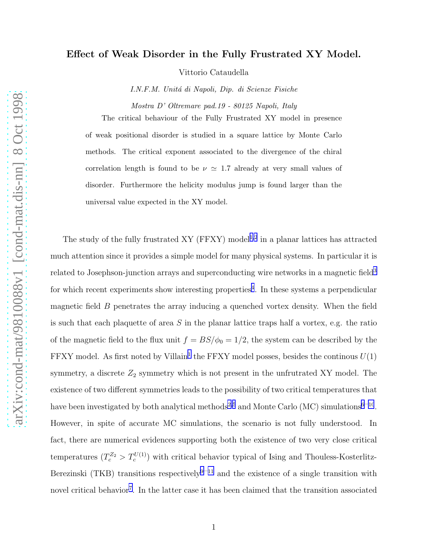## arXiv:cond-mat/9810088v1 [cond-mat.dis-nn] 8 Oct 1998 [arXiv:cond-mat/9810088v1 \[cond-mat.dis-nn\] 8 Oct 1998](http://arxiv.org/abs/cond-mat/9810088v1)

## Effect of Weak Disorder in the Fully Frustrated XY Model.

Vittorio Cataudella

I.N.F.M. Unitá di Napoli, Dip. di Scienze Fisiche

Mostra D' Oltremare pad.19 - 80125 Napoli, Italy

The critical behaviour of the Fully Frustrated XY model in presence of weak positional disorder is studied in a square lattice by Monte Carlo methods. The critical exponent associated to the divergence of the chiral correlation length is found to be  $\nu \approx 1.7$  already at very small values of disorder. Furthermore the helicity modulus jump is found larger than the universal value expected in the XY model.

The study of the fully frustrated  $XY$  (FFXY) model<sup>[1](#page-5-0),[2](#page-5-0)</sup> in a planar lattices has attracted much attention since it provides a simple model for many physical systems. In particular it is related to Josephson-junction arrays and superconducting wire networks in a magnetic field[3](#page-5-0) for which recent experiments show interesting properties<sup>[4](#page-5-0)</sup>. In these systems a perpendicular magnetic field  $B$  penetrates the array inducing a quenched vortex density. When the field is such that each plaquette of area  $S$  in the planar lattice traps half a vortex, e.g. the ratio of the magnetic field to the flux unit  $f = BS/\phi_0 = 1/2$ , the system can be described by the FFXY model. As first noted by Villain<sup>[1](#page-5-0)</sup> the FFXY model posses, besides the continous  $U(1)$ symmetry, a discrete  $Z_2$  symmetry which is not present in the unfrutrated XY model. The existence of two different symmetries leads to the possibility of two critical temperatures that have been investigated by both analytical methods<sup>[2](#page-5-0),[5](#page-5-0)</sup> and Monte Carlo (MC) simulations<sup>[6](#page-5-0)-[10](#page-5-0)</sup>. However, in spite of accurate MC simulations, the scenario is not fully understood. In fact, there are numerical evidences supporting both the existence of two very close critical temperatures  $(T_c^{Z_2} > T_c^{U(1)})$  with critical behavior typical of Ising and Thouless-Kosterlitz-Berezinski (TKB) transitions respectively<sup>[9](#page-5-0)–[11](#page-5-0)</sup> and the existence of a single transition with novel critical behavior<sup>[7](#page-5-0)</sup>. In the latter case it has been claimed that the transition associated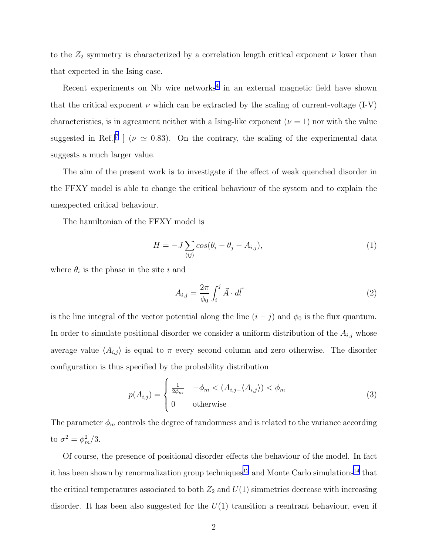to the  $Z_2$  symmetry is characterized by a correlation length critical exponent  $\nu$  lower than that expected in the Ising case.

Recent experiments on Nb wire networks<sup>[4](#page-5-0)</sup> in an external magnetic field have shown that the critical exponent  $\nu$  which can be extracted by the scaling of current-voltage (I-V) characteristics, is in agreament neither with a Ising-like exponent  $(\nu = 1)$  nor with the value suggested in Ref.<sup>[[7](#page-5-0)</sup>] ( $\nu \simeq 0.83$ ). On the contrary, the scaling of the experimental data suggests a much larger value.

The aim of the present work is to investigate if the effect of weak quenched disorder in the FFXY model is able to change the critical behaviour of the system and to explain the unexpected critical behaviour.

The hamiltonian of the FFXY model is

$$
H = -J \sum_{\langle ij \rangle} \cos(\theta_i - \theta_j - A_{i,j}), \tag{1}
$$

where  $\theta_i$  is the phase in the site i and

$$
A_{i,j} = \frac{2\pi}{\phi_0} \int_i^j \vec{A} \cdot d\vec{l} \tag{2}
$$

is the line integral of the vector potential along the line  $(i - j)$  and  $\phi_0$  is the flux quantum. In order to simulate positional disorder we consider a uniform distribution of the  $A_{i,j}$  whose average value  $\langle A_{i,j} \rangle$  is equal to  $\pi$  every second column and zero otherwise. The disorder configuration is thus specified by the probability distribution

$$
p(A_{i,j}) = \begin{cases} \frac{1}{2\phi_m} & -\phi_m < (A_{i,j} - \langle A_{i,j} \rangle) < \phi_m \\ 0 & \text{otherwise} \end{cases}
$$
 (3)

The parameter  $\phi_m$  controls the degree of randomness and is related to the variance according to  $\sigma^2 = \phi_m^2/3$ .

Of course, the presence of positional disorder effects the behaviour of the model. In fact it has been shown by renormalization group techniques<sup>[12](#page-5-0)</sup> and Monte Carlo simulations<sup>[14](#page-6-0)</sup> that the critical temperatures associated to both  $Z_2$  and  $U(1)$  simmetries decrease with increasing disorder. It has been also suggested for the  $U(1)$  transition a reentrant behaviour, even if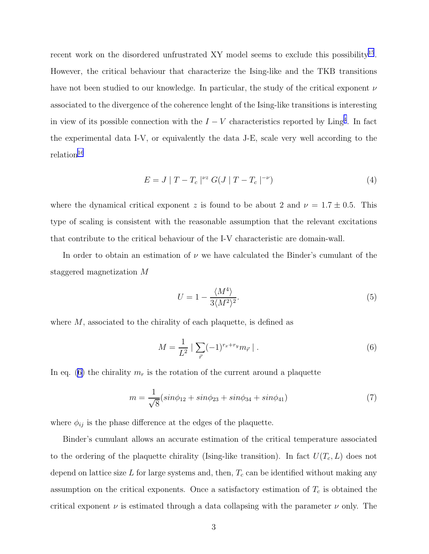<span id="page-2-0"></span>recent work on the disordered unfrustrated XY model seems to exclude this possibility<sup>[15](#page-6-0)</sup>. However, the critical behaviour that characterize the Ising-like and the TKB transitions have not been studied to our knowledge. In particular, the study of the critical exponent  $\nu$ associated to the divergence of the coherence lenght of the Ising-like transitions is interesting in view of its possible connection with the  $I - V$  characteristics reported by Ling<sup>[4](#page-5-0)</sup>. In fact the experimental data I-V, or equivalently the data J-E, scale very well according to the  $relation<sup>16</sup>$  $relation<sup>16</sup>$  $relation<sup>16</sup>$ 

$$
E = J | T - T_c |^{\nu z} G(J | T - T_c |^{-\nu})
$$
\n(4)

where the dynamical critical exponent z is found to be about 2 and  $\nu = 1.7 \pm 0.5$ . This type of scaling is consistent with the reasonable assumption that the relevant excitations that contribute to the critical behaviour of the I-V characteristic are domain-wall.

In order to obtain an estimation of  $\nu$  we have calculated the Binder's cumulant of the staggered magnetization M

$$
U = 1 - \frac{\langle M^4 \rangle}{3 \langle M^2 \rangle^2}.
$$
\n<sup>(5)</sup>

where  $M$ , associated to the chirality of each plaquette, is defined as

$$
M = \frac{1}{L^2} \mid \sum_{\vec{r}} (-1)^{r_x + r_y} m_{\vec{r}} \mid . \tag{6}
$$

In eq. (6) the chirality  $m_r$  is the rotation of the current around a plaquette

$$
m = \frac{1}{\sqrt{8}} (sin\phi_{12} + sin\phi_{23} + sin\phi_{34} + sin\phi_{41})
$$
\n(7)

where  $\phi_{ij}$  is the phase difference at the edges of the plaquette.

Binder's cumulant allows an accurate estimation of the critical temperature associated to the ordering of the plaquette chirality (Ising-like transition). In fact  $U(T_c, L)$  does not depend on lattice size L for large systems and, then,  $T_c$  can be identified without making any assumption on the critical exponents. Once a satisfactory estimation of  $T_c$  is obtained the critical exponent  $\nu$  is estimated through a data collapsing with the parameter  $\nu$  only. The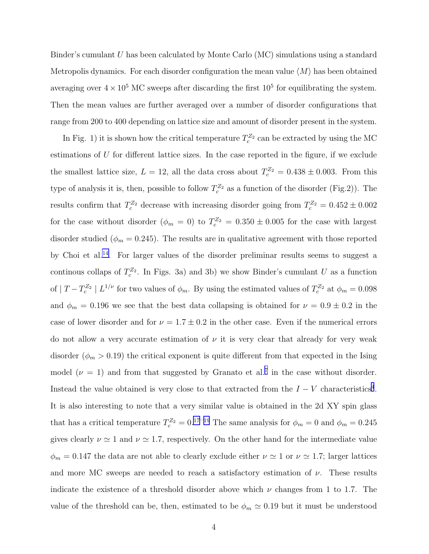Binder's cumulant U has been calculated by Monte Carlo (MC) simulations using a standard Metropolis dynamics. For each disorder configuration the mean value  $\langle M \rangle$  has been obtained averaging over  $4 \times 10^5$  MC sweeps after discarding the first  $10^5$  for equilibrating the system. Then the mean values are further averaged over a number of disorder configurations that range from 200 to 400 depending on lattice size and amount of disorder present in the system.

In Fig. 1) it is shown how the critical temperature  $T_c^{Z_2}$  can be extracted by using the MC estimations of  $U$  for different lattice sizes. In the case reported in the figure, if we exclude the smallest lattice size,  $L = 12$ , all the data cross about  $T_c^{Z_2} = 0.438 \pm 0.003$ . From this type of analysis it is, then, possible to follow  $T_c^{Z_2}$  as a function of the disorder (Fig.2)). The results confirm that  $T_c^{Z_2}$  decrease with increasing disorder going from  $T_c^{Z_2} = 0.452 \pm 0.002$ for the case without disorder  $(\phi_m = 0)$  to  $T_c^{Z_2} = 0.350 \pm 0.005$  for the case with largest disorder studied ( $\phi_m = 0.245$ ). The results are in qualitative agreement with those reported by Choi et al.[14](#page-6-0). For larger values of the disorder preliminar results seems to suggest a continous collaps of  $T_c^{Z_2}$ . In Figs. 3a) and 3b) we show Binder's cumulant U as a function of  $|T-T_c^{Z_2}| L^{1/\nu}$  for two values of  $\phi_m$ . By using the estimated values of  $T_c^{Z_2}$  at  $\phi_m = 0.098$ and  $\phi_m = 0.196$  we see that the best data collapsing is obtained for  $\nu = 0.9 \pm 0.2$  in the case of lower disorder and for  $\nu = 1.7 \pm 0.2$  in the other case. Even if the numerical errors do not allow a very accurate estimation of  $\nu$  it is very clear that already for very weak disorder ( $\phi_m > 0.19$ ) the critical exponent is quite different from that expected in the Ising model ( $\nu = 1$ ) and from that suggested by Granato et al.<sup>[7](#page-5-0)</sup> in the case without disorder. Instead the value obtained is very close to that extracted from the  $I - V$  characteristics<sup>[4](#page-5-0)</sup>. It is also interesting to note that a very similar value is obtained in the 2d XY spin glass that has a critical temperature  $T_c^{Z_2} = 0.17 \text{ m}$  $T_c^{Z_2} = 0.17 \text{ m}$  $T_c^{Z_2} = 0.17 \text{ m}$  The same analysis for  $\phi_m = 0$  and  $\phi_m = 0.245$ gives clearly  $\nu \approx 1$  and  $\nu \approx 1.7$ , respectively. On the other hand for the intermediate value  $\phi_m = 0.147$  the data are not able to clearly exclude either  $\nu \simeq 1$  or  $\nu \simeq 1.7$ ; larger lattices and more MC sweeps are needed to reach a satisfactory estimation of  $\nu$ . These results indicate the existence of a threshold disorder above which  $\nu$  changes from 1 to 1.7. The value of the threshold can be, then, estimated to be  $\phi_m \simeq 0.19$  but it must be understood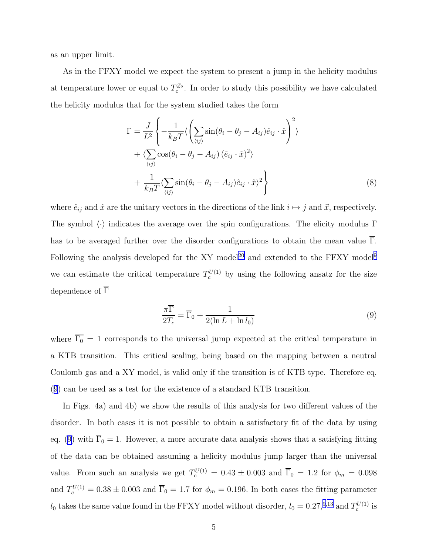<span id="page-4-0"></span>as an upper limit.

As in the FFXY model we expect the system to present a jump in the helicity modulus at temperature lower or equal to  $T_c^{Z_2}$ . In order to study this possibility we have calculated the helicity modulus that for the system studied takes the form

$$
\Gamma = \frac{J}{L^2} \left\{ -\frac{1}{k_B T} \langle \left( \sum_{\langle ij \rangle} \sin(\theta_i - \theta_j - A_{ij}) \hat{e}_{ij} \cdot \hat{x} \right)^2 \rangle + \langle \sum_{\langle ij \rangle} \cos(\theta_i - \theta_j - A_{ij}) (\hat{e}_{ij} \cdot \hat{x})^2 \rangle + \frac{1}{k_B T} \langle \sum_{\langle ij \rangle} \sin(\theta_i - \theta_j - A_{ij}) \hat{e}_{ij} \cdot \hat{x} \rangle^2 \right\}
$$
\n(8)

where  $\hat{e}_{ij}$  and  $\hat{x}$  are the unitary vectors in the directions of the link  $i \mapsto j$  and  $\vec{x}$ , respectively. The symbol  $\langle \cdot \rangle$  indicates the average over the spin configurations. The elicity modulus Γ has to be averaged further over the disorder configurations to obtain the mean value Γ. Following the analysis developed for the XY model<sup>[20](#page-6-0)</sup> and extended to the FFXY model<sup>[9](#page-5-0)</sup> we can estimate the critical temperature  $T_c^{U(1)}$  by using the following ansatz for the size dependence of Γ

$$
\frac{\pi \overline{\Gamma}}{2T_c} = \overline{\Gamma}_0 + \frac{1}{2(\ln L + \ln l_0)}\tag{9}
$$

where  $\overline{\Gamma_0} = 1$  corresponds to the universal jump expected at the critical temperature in a KTB transition. This critical scaling, being based on the mapping between a neutral Coulomb gas and a XY model, is valid only if the transition is of KTB type. Therefore eq. (9) can be used as a test for the existence of a standard KTB transition.

In Figs. 4a) and 4b) we show the results of this analysis for two different values of the disorder. In both cases it is not possible to obtain a satisfactory fit of the data by using eq. (9) with  $\overline{\Gamma}_0 = 1$ . However, a more accurate data analysis shows that a satisfying fitting of the data can be obtained assuming a helicity modulus jump larger than the universal value. From such an analysis we get  $T_c^{U(1)} = 0.43 \pm 0.003$  and  $\overline{\Gamma}_0 = 1.2$  for  $\phi_m = 0.098$ and  $T_c^{U(1)} = 0.38 \pm 0.003$  and  $\overline{\Gamma}_0 = 1.7$  for  $\phi_m = 0.196$ . In both cases the fitting parameter  $l_0$  takes the same value found in the FFXY model without disorder,  $l_0 = 0.27$ ,<sup>[9](#page-5-0),[13](#page-6-0)</sup> and  $T_c^{U(1)}$  is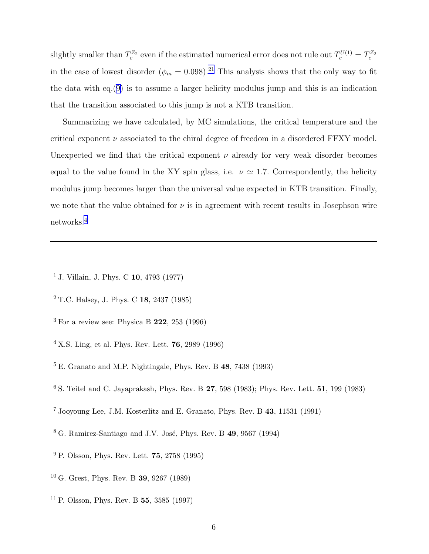<span id="page-5-0"></span>slightly smaller than  $T_c^{Z_2}$  even if the estimated numerical error does not rule out  $T_c^{U(1)} = T_c^{Z_2}$ in the case of lowest disorder  $(\phi_m = 0.098)^{21}$  $(\phi_m = 0.098)^{21}$  $(\phi_m = 0.098)^{21}$  This analysis shows that the only way to fit the data with eq.([9\)](#page-4-0) is to assume a larger helicity modulus jump and this is an indication that the transition associated to this jump is not a KTB transition.

Summarizing we have calculated, by MC simulations, the critical temperature and the critical exponent  $\nu$  associated to the chiral degree of freedom in a disordered FFXY model. Unexpected we find that the critical exponent  $\nu$  already for very weak disorder becomes equal to the value found in the XY spin glass, i.e.  $\nu \approx 1.7$ . Correspondently, the helicity modulus jump becomes larger than the universal value expected in KTB transition. Finally, we note that the value obtained for  $\nu$  is in agreement with recent results in Josephson wire networks.<sup>4</sup>

- <sup>1</sup> J. Villain, J. Phys. C 10, 4793 (1977)
- <sup>2</sup> T.C. Halsey, J. Phys. C 18, 2437 (1985)
- $3$  For a review see: Physica B 222, 253 (1996)
- $4$  X.S. Ling, et al. Phys. Rev. Lett. 76, 2989 (1996)
- $^5$  E. Granato and M.P. Nightingale, Phys. Rev. B  $\bf{48},\,7438$  (1993)
- <sup>6</sup> S. Teitel and C. Jayaprakash, Phys. Rev. B 27, 598 (1983); Phys. Rev. Lett. 51, 199 (1983)
- <sup>7</sup> Jooyoung Lee, J.M. Kosterlitz and E. Granato, Phys. Rev. B 43, 11531 (1991)
- $8$  G. Ramirez-Santiago and J.V. José, Phys. Rev. B 49, 9567 (1994)
- <sup>9</sup> P. Olsson, Phys. Rev. Lett. **75**, 2758 (1995)
- $10$  G. Grest, Phys. Rev. B 39, 9267 (1989)
- <sup>11</sup> P. Olsson, Phys. Rev. B 55, 3585 (1997)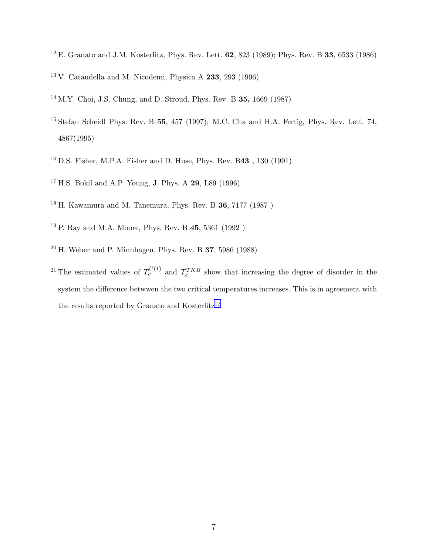- <span id="page-6-0"></span><sup>12</sup> E. Granato and J.M. Kosterlitz, Phys. Rev. Lett. **62**, 823 (1989); Phys. Rev. B **33**, 6533 (1986)
- $13$  V. Cataudella and M. Nicodemi, Physica A 233, 293 (1996)
- <sup>14</sup> M.Y. Choi, J.S. Chung, and D. Stroud, Phys. Rev. B 35, 1669 (1987)
- <sup>15</sup> Stefan Scheidl Phys. Rev. B 55, 457 (1997); M.C. Cha and H.A. Fertig, Phys. Rev. Lett. 74, 4867(1995)
- <sup>16</sup> D.S. Fisher, M.P.A. Fisher and D. Huse, Phys. Rev. B43 , 130 (1991)
- <sup>17</sup> H.S. Bokil and A.P. Young, J. Phys. A 29, L89 (1996)
- <sup>18</sup> H. Kawamura and M. Tanemura, Phys. Rev. B 36, 7177 (1987 )
- <sup>19</sup> P. Ray and M.A. Moore, Phys. Rev. B 45, 5361 (1992 )
- <sup>20</sup> H. Weber and P. Minnhagen, Phys. Rev. B 37, 5986 (1988)
- <sup>21</sup> The estimated values of  $T_c^{U(1)}$  and  $T_c^{TKB}$  show that increasing the degree of disorder in the system the difference betwwen the two critical temperatures increases. This is in agreement with the results reported by Granato and Kosterlitz<sup>[12](#page-5-0)</sup>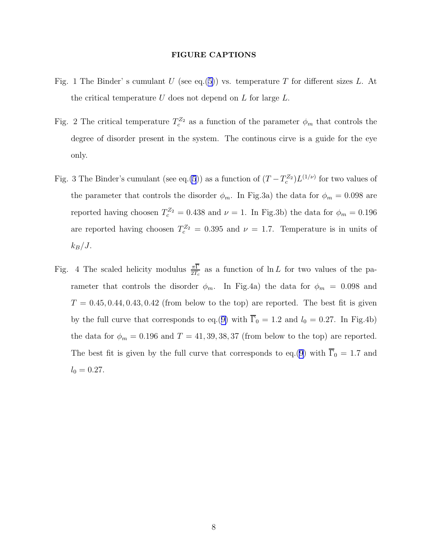## FIGURE CAPTIONS

- Fig. 1 The Binder's cumulant U (see eq.([5\)](#page-2-0)) vs. temperature T for different sizes L. At the critical temperature  $U$  does not depend on  $L$  for large  $L$ .
- Fig. 2 The critical temperature  $T_c^{Z_2}$  as a function of the parameter  $\phi_m$  that controls the degree of disorder present in the system. The continous cirve is a guide for the eye only.
- Fig. 3 The Binder's cumulant (see eq.[\(5](#page-2-0))) as a function of  $(T T_c^{Z_2})L^{(1/\nu)}$  for two values of the parameter that controls the disorder  $\phi_m$ . In Fig.3a) the data for  $\phi_m = 0.098$  are reported having choosen  $T_c^{Z_2} = 0.438$  and  $\nu = 1$ . In Fig.3b) the data for  $\phi_m = 0.196$ are reported having choosen  $T_c^{Z_2} = 0.395$  and  $\nu = 1.7$ . Temperature is in units of  $k_B/J$ .
- Fig. 4 The scaled helicity modulus  $\frac{\pi \Gamma}{2T_c}$  as a function of ln L for two values of the parameter that controls the disorder  $\phi_m$ . In Fig.4a) the data for  $\phi_m = 0.098$  and  $T = 0.45, 0.44, 0.43, 0.42$  (from below to the top) are reported. The best fit is given by the full curve that corresponds to eq.([9\)](#page-4-0) with  $\overline{\Gamma}_0 = 1.2$  and  $l_0 = 0.27$ . In Fig.4b) the data for  $\phi_m = 0.196$  and  $T = 41, 39, 38, 37$  (from below to the top) are reported. The best fit is given by the full curve that corresponds to eq.[\(9](#page-4-0)) with  $\overline{\Gamma}_0 = 1.7$  and  $l_0 = 0.27$ .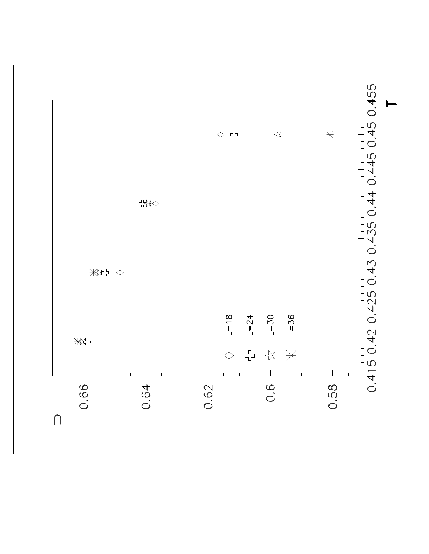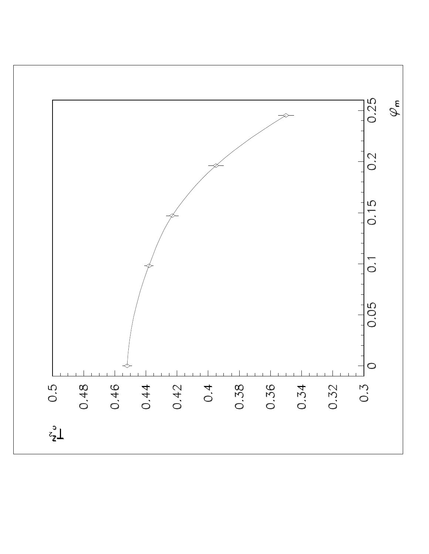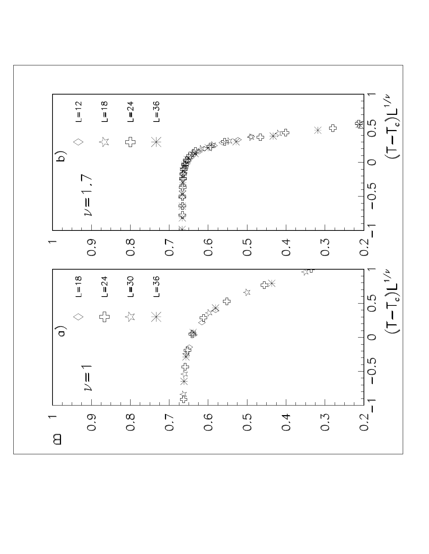